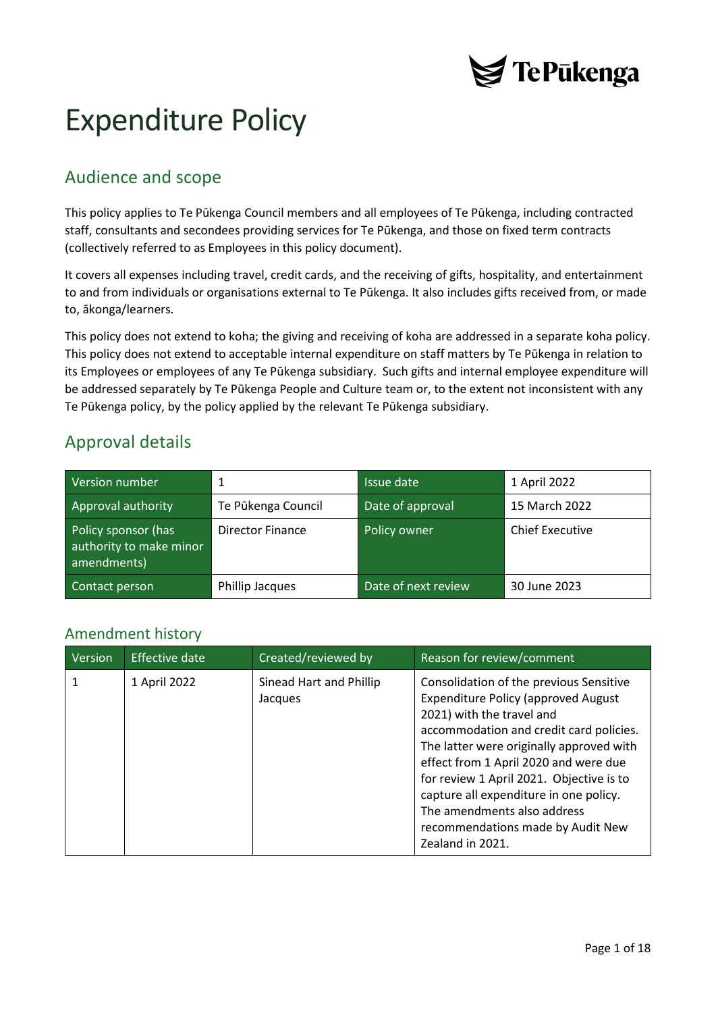

# Expenditure Policy

## Audience and scope

This policy applies to Te Pūkenga Council members and all employees of Te Pūkenga, including contracted staff, consultants and secondees providing services for Te Pūkenga, and those on fixed term contracts (collectively referred to as Employees in this policy document).

It covers all expenses including travel, credit cards, and the receiving of gifts, hospitality, and entertainment to and from individuals or organisations external to Te Pūkenga. It also includes gifts received from, or made to, ākonga/learners.

This policy does not extend to koha; the giving and receiving of koha are addressed in a separate koha policy. This policy does not extend to acceptable internal expenditure on staff matters by Te Pūkenga in relation to its Employees or employees of any Te Pūkenga subsidiary. Such gifts and internal employee expenditure will be addressed separately by Te Pūkenga People and Culture team or, to the extent not inconsistent with any Te Pūkenga policy, by the policy applied by the relevant Te Pūkenga subsidiary.

## Approval details

| Version number                                                |                         | Issue date          | 1 April 2022           |
|---------------------------------------------------------------|-------------------------|---------------------|------------------------|
| Approval authority                                            | Te Pūkenga Council      | Date of approval    | 15 March 2022          |
| Policy sponsor (has<br>authority to make minor<br>amendments) | <b>Director Finance</b> | Policy owner        | <b>Chief Executive</b> |
| Contact person                                                | Phillip Jacques         | Date of next review | 30 June 2023           |

### <span id="page-0-0"></span>Amendment history

| <b>Version</b> | Effective date | Created/reviewed by                | Reason for review/comment                                                                                                                                                                                                                                                                                                                                                                                                        |
|----------------|----------------|------------------------------------|----------------------------------------------------------------------------------------------------------------------------------------------------------------------------------------------------------------------------------------------------------------------------------------------------------------------------------------------------------------------------------------------------------------------------------|
|                | 1 April 2022   | Sinead Hart and Phillip<br>Jacques | Consolidation of the previous Sensitive<br><b>Expenditure Policy (approved August</b><br>2021) with the travel and<br>accommodation and credit card policies.<br>The latter were originally approved with<br>effect from 1 April 2020 and were due<br>for review 1 April 2021. Objective is to<br>capture all expenditure in one policy.<br>The amendments also address<br>recommendations made by Audit New<br>Zealand in 2021. |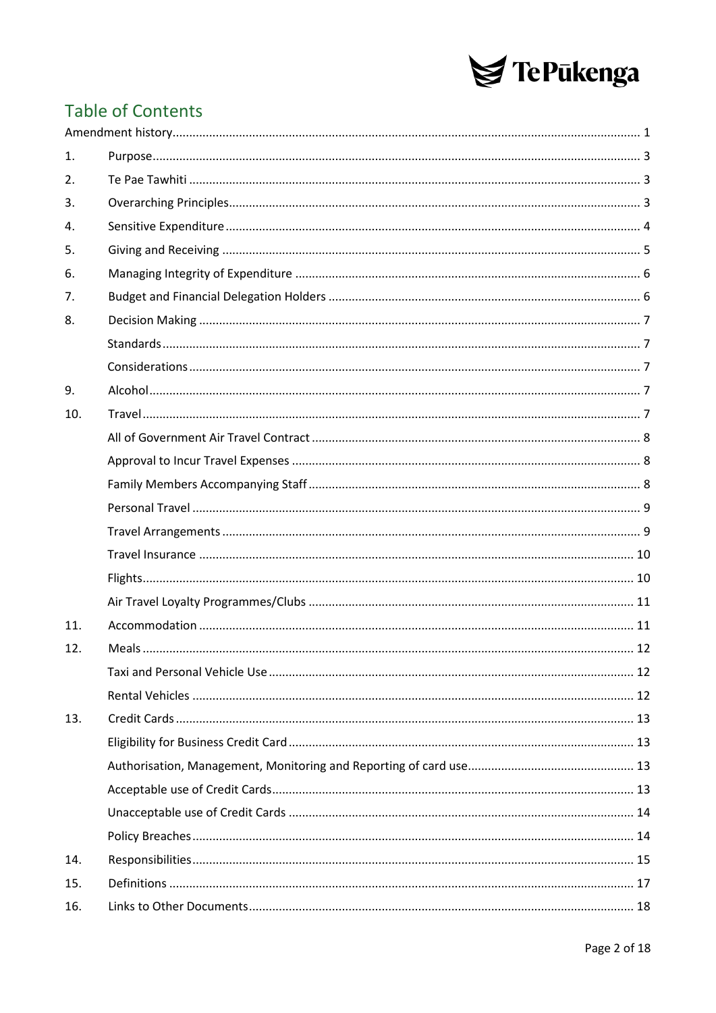

## **Table of Contents**

| 1.  |  |
|-----|--|
| 2.  |  |
| 3.  |  |
| 4.  |  |
| 5.  |  |
| 6.  |  |
| 7.  |  |
| 8.  |  |
|     |  |
|     |  |
| 9.  |  |
| 10. |  |
|     |  |
|     |  |
|     |  |
|     |  |
|     |  |
|     |  |
|     |  |
|     |  |
| 11. |  |
| 12. |  |
|     |  |
|     |  |
| 13. |  |
|     |  |
|     |  |
|     |  |
|     |  |
|     |  |
| 14. |  |
| 15. |  |
| 16. |  |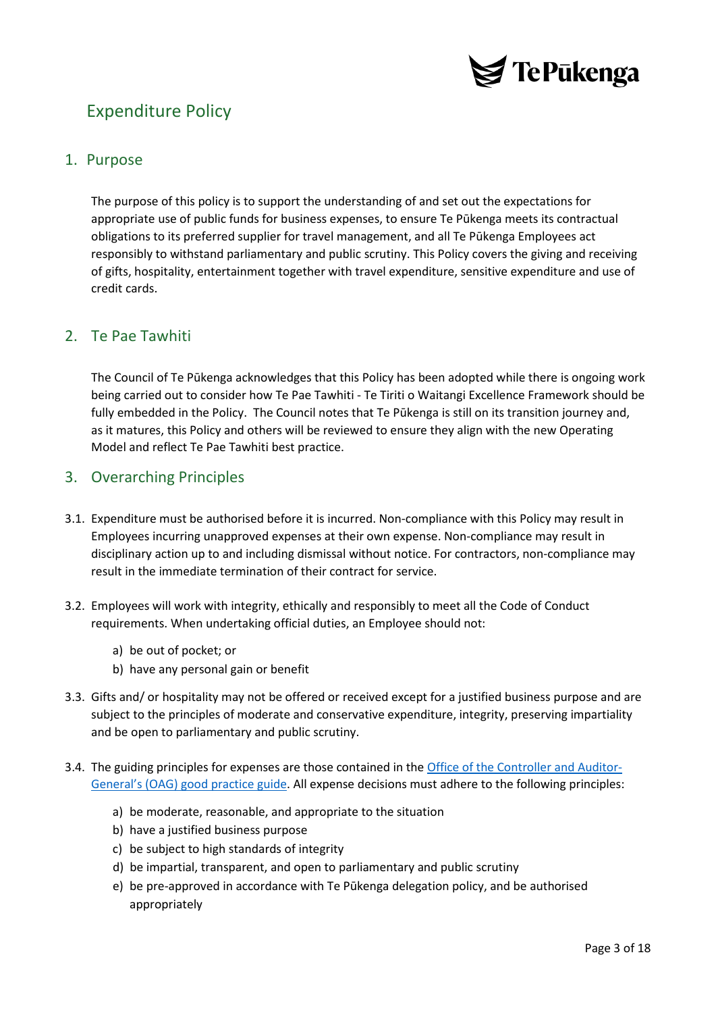

## Expenditure Policy

### <span id="page-2-0"></span>1. Purpose

The purpose of this policy is to support the understanding of and set out the expectations for appropriate use of public funds for business expenses, to ensure Te Pūkenga meets its contractual obligations to its preferred supplier for travel management, and all Te Pūkenga Employees act responsibly to withstand parliamentary and public scrutiny. This Policy covers the giving and receiving of gifts, hospitality, entertainment together with travel expenditure, sensitive expenditure and use of credit cards.

## <span id="page-2-1"></span>2. Te Pae Tawhiti

The Council of Te Pūkenga acknowledges that this Policy has been adopted while there is ongoing work being carried out to consider how Te Pae Tawhiti - Te Tiriti o Waitangi Excellence Framework should be fully embedded in the Policy. The Council notes that Te Pūkenga is still on its transition journey and, as it matures, this Policy and others will be reviewed to ensure they align with the new Operating Model and reflect Te Pae Tawhiti best practice.

## <span id="page-2-2"></span>3. Overarching Principles

- 3.1. Expenditure must be authorised before it is incurred. Non-compliance with this Policy may result in Employees incurring unapproved expenses at their own expense. Non-compliance may result in disciplinary action up to and including dismissal without notice. For contractors, non-compliance may result in the immediate termination of their contract for service.
- 3.2. Employees will work with integrity, ethically and responsibly to meet all the Code of Conduct requirements. When undertaking official duties, an Employee should not:
	- a) be out of pocket; or
	- b) have any personal gain or benefit
- 3.3. Gifts and/ or hospitality may not be offered or received except for a justified business purpose and are subject to the principles of moderate and conservative expenditure, integrity, preserving impartiality and be open to parliamentary and public scrutiny.
- 3.4. The guiding principles for expenses are those contained in the [Office of the Controller and Auditor](https://oag.parliament.nz/2020/sensitive-expenditure/docs/sensitive-expenditure.pdf)-[General's \(OAG\) good practice guide.](https://oag.parliament.nz/2020/sensitive-expenditure/docs/sensitive-expenditure.pdf) All expense decisions must adhere to the following principles:
	- a) be moderate, reasonable, and appropriate to the situation
	- b) have a justified business purpose
	- c) be subject to high standards of integrity
	- d) be impartial, transparent, and open to parliamentary and public scrutiny
	- e) be pre-approved in accordance with Te Pūkenga delegation policy, and be authorised appropriately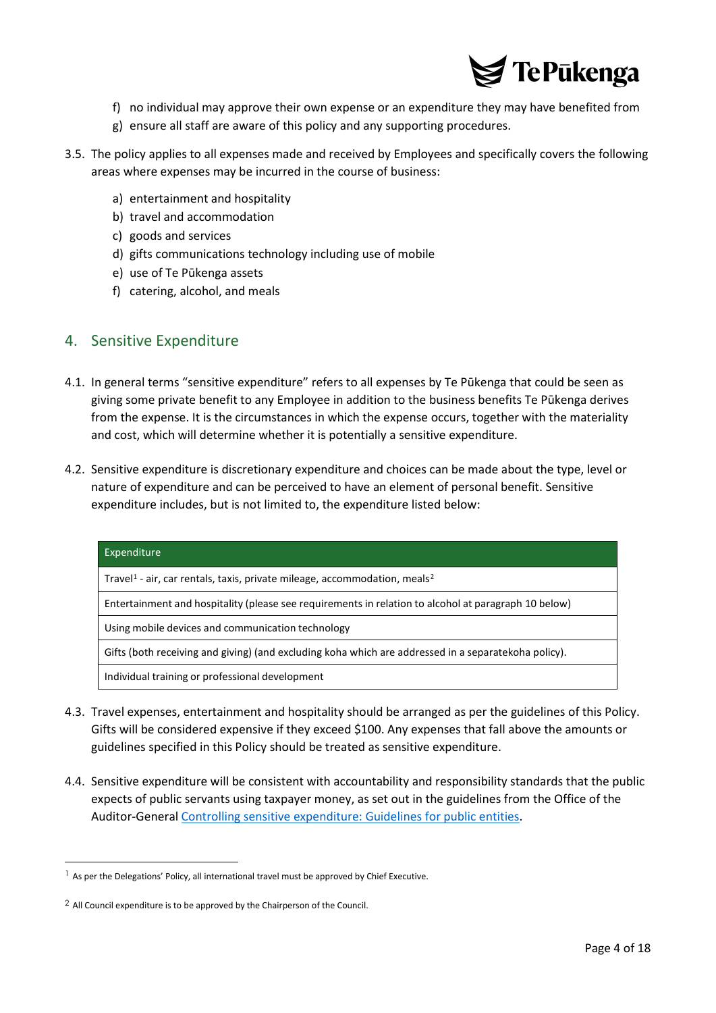

- f) no individual may approve their own expense or an expenditure they may have benefited from
- g) ensure all staff are aware of this policy and any supporting procedures.
- 3.5. The policy applies to all expenses made and received by Employees and specifically covers the following areas where expenses may be incurred in the course of business:
	- a) entertainment and hospitality
	- b) travel and accommodation
	- c) goods and services
	- d) gifts communications technology including use of mobile
	- e) use of Te Pūkenga assets
	- f) catering, alcohol, and meals

## <span id="page-3-0"></span>4. Sensitive Expenditure

- 4.1. In general terms "sensitive expenditure" refers to all expenses by Te Pūkenga that could be seen as giving some private benefit to any Employee in addition to the business benefits Te Pūkenga derives from the expense. It is the circumstances in which the expense occurs, together with the materiality and cost, which will determine whether it is potentially a sensitive expenditure.
- 4.2. Sensitive expenditure is discretionary expenditure and choices can be made about the type, level or nature of expenditure and can be perceived to have an element of personal benefit. Sensitive expenditure includes, but is not limited to, the expenditure listed below:

| Expenditure                                                                                          |  |
|------------------------------------------------------------------------------------------------------|--|
| Travel <sup>1</sup> - air, car rentals, taxis, private mileage, accommodation, meals <sup>2</sup>    |  |
| Entertainment and hospitality (please see requirements in relation to alcohol at paragraph 10 below) |  |
| Using mobile devices and communication technology                                                    |  |
| Gifts (both receiving and giving) (and excluding koha which are addressed in a separatekoha policy). |  |
| Individual training or professional development                                                      |  |

- 4.3. Travel expenses, entertainment and hospitality should be arranged as per the guidelines of this Policy. Gifts will be considered expensive if they exceed \$100. Any expenses that fall above the amounts or guidelines specified in this Policy should be treated as sensitive expenditure.
- 4.4. Sensitive expenditure will be consistent with accountability and responsibility standards that the public expects of public servants using taxpayer money, as set out in the guidelines from the Office of the Auditor-General [Controlling sensitive expenditure: Guidelines for public entities.](https://oag.parliament.nz/2020/sensitive-expenditure)

<span id="page-3-1"></span><sup>&</sup>lt;sup>1</sup> As per the Delegations' Policy, all international travel must be approved by Chief Executive.

<span id="page-3-2"></span> $2$  All Council expenditure is to be approved by the Chairperson of the Council.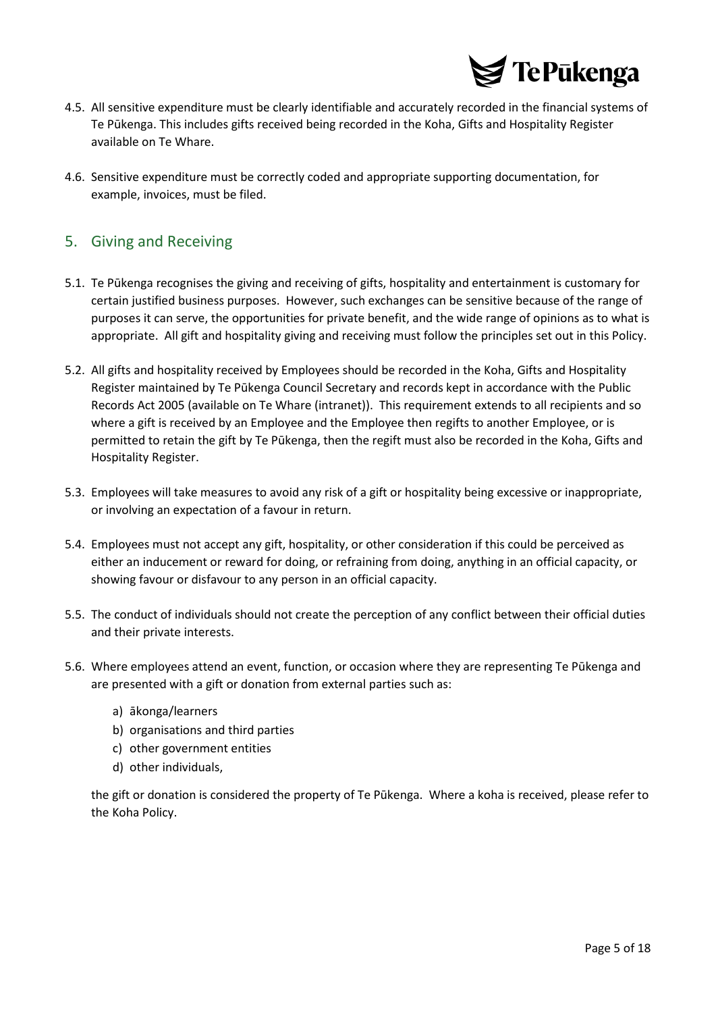

- 4.5. All sensitive expenditure must be clearly identifiable and accurately recorded in the financial systems of Te Pūkenga. This includes gifts received being recorded in the Koha, Gifts and Hospitality Register available on Te Whare.
- 4.6. Sensitive expenditure must be correctly coded and appropriate supporting documentation, for example, invoices, must be filed.

## <span id="page-4-0"></span>5. Giving and Receiving

- 5.1. Te Pūkenga recognises the giving and receiving of gifts, hospitality and entertainment is customary for certain justified business purposes. However, such exchanges can be sensitive because of the range of purposes it can serve, the opportunities for private benefit, and the wide range of opinions as to what is appropriate. All gift and hospitality giving and receiving must follow the principles set out in this Policy.
- 5.2. All gifts and hospitality received by Employees should be recorded in the Koha, Gifts and Hospitality Register maintained by Te Pūkenga Council Secretary and records kept in accordance with the Public Records Act 2005 (available on Te Whare (intranet)). This requirement extends to all recipients and so where a gift is received by an Employee and the Employee then regifts to another Employee, or is permitted to retain the gift by Te Pūkenga, then the regift must also be recorded in the Koha, Gifts and Hospitality Register.
- 5.3. Employees will take measures to avoid any risk of a gift or hospitality being excessive or inappropriate, or involving an expectation of a favour in return.
- 5.4. Employees must not accept any gift, hospitality, or other consideration if this could be perceived as either an inducement or reward for doing, or refraining from doing, anything in an official capacity, or showing favour or disfavour to any person in an official capacity.
- 5.5. The conduct of individuals should not create the perception of any conflict between their official duties and their private interests.
- 5.6. Where employees attend an event, function, or occasion where they are representing Te Pūkenga and are presented with a gift or donation from external parties such as:
	- a) ākonga/learners
	- b) organisations and third parties
	- c) other government entities
	- d) other individuals,

the gift or donation is considered the property of Te Pūkenga. Where a koha is received, please refer to the Koha Policy.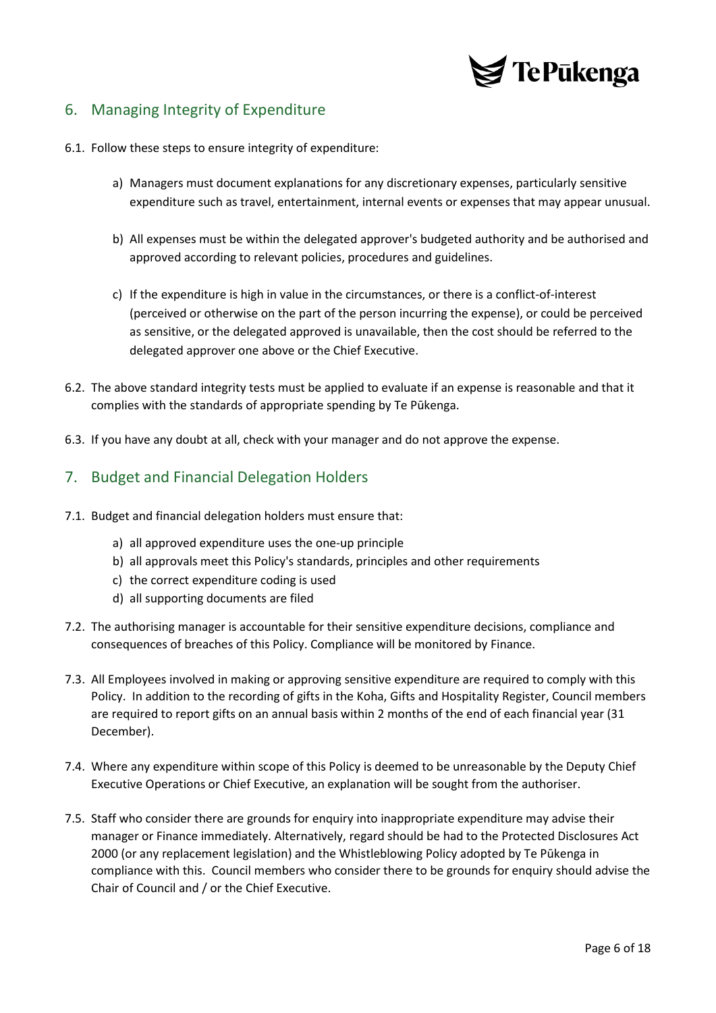

## <span id="page-5-0"></span>6. Managing Integrity of Expenditure

- 6.1. Follow these steps to ensure integrity of expenditure:
	- a) Managers must document explanations for any discretionary expenses, particularly sensitive expenditure such as travel, entertainment, internal events or expenses that may appear unusual.
	- b) All expenses must be within the delegated approver's budgeted authority and be authorised and approved according to relevant policies, procedures and guidelines.
	- c) If the expenditure is high in value in the circumstances, or there is a conflict-of-interest (perceived or otherwise on the part of the person incurring the expense), or could be perceived as sensitive, or the delegated approved is unavailable, then the cost should be referred to the delegated approver one above or the Chief Executive.
- 6.2. The above standard integrity tests must be applied to evaluate if an expense is reasonable and that it complies with the standards of appropriate spending by Te Pūkenga.
- 6.3. If you have any doubt at all, check with your manager and do not approve the expense.

### <span id="page-5-1"></span>7. Budget and Financial Delegation Holders

- 7.1. Budget and financial delegation holders must ensure that:
	- a) all approved expenditure uses the one-up principle
	- b) all approvals meet this Policy's standards, principles and other requirements
	- c) the correct expenditure coding is used
	- d) all supporting documents are filed
- 7.2. The authorising manager is accountable for their sensitive expenditure decisions, compliance and consequences of breaches of this Policy. Compliance will be monitored by Finance.
- 7.3. All Employees involved in making or approving sensitive expenditure are required to comply with this Policy. In addition to the recording of gifts in the Koha, Gifts and Hospitality Register, Council members are required to report gifts on an annual basis within 2 months of the end of each financial year (31 December).
- 7.4. Where any expenditure within scope of this Policy is deemed to be unreasonable by the Deputy Chief Executive Operations or Chief Executive, an explanation will be sought from the authoriser.
- 7.5. Staff who consider there are grounds for enquiry into inappropriate expenditure may advise their manager or Finance immediately. Alternatively, regard should be had to the Protected Disclosures Act 2000 (or any replacement legislation) and the Whistleblowing Policy adopted by Te Pūkenga in compliance with this. Council members who consider there to be grounds for enquiry should advise the Chair of Council and / or the Chief Executive.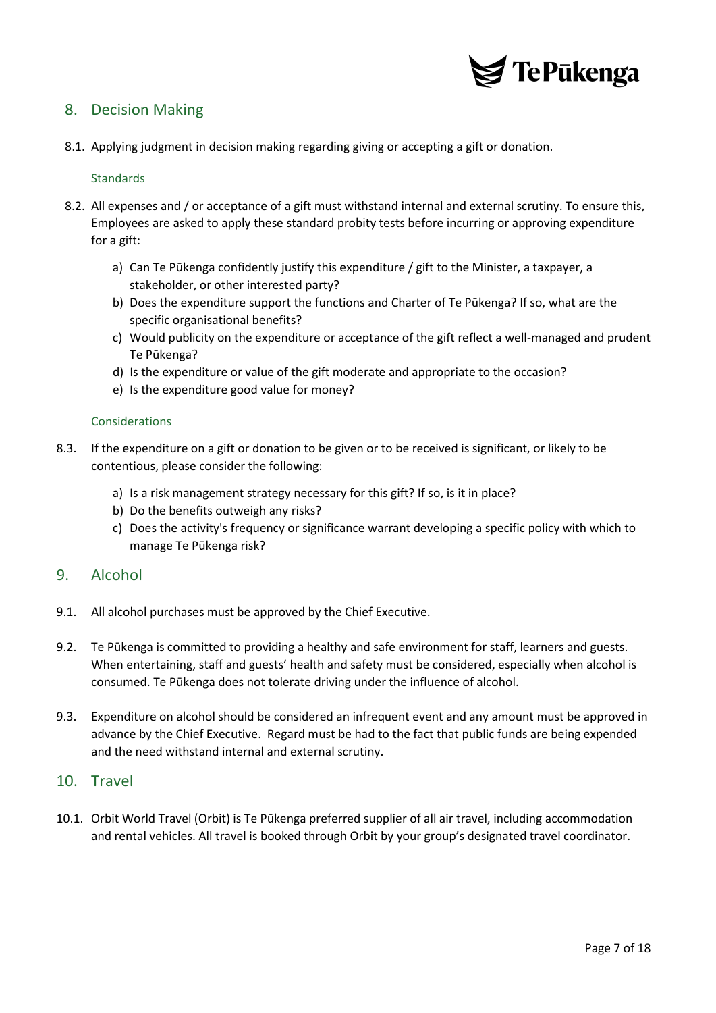

## <span id="page-6-0"></span>8. Decision Making

<span id="page-6-1"></span>8.1. Applying judgment in decision making regarding giving or accepting a gift or donation.

#### **Standards**

- 8.2. All expenses and / or acceptance of a gift must withstand internal and external scrutiny. To ensure this, Employees are asked to apply these standard probity tests before incurring or approving expenditure for a gift:
	- a) Can Te Pūkenga confidently justify this expenditure / gift to the Minister, a taxpayer, a stakeholder, or other interested party?
	- b) Does the expenditure support the functions and Charter of Te Pūkenga? If so, what are the specific organisational benefits?
	- c) Would publicity on the expenditure or acceptance of the gift reflect a well-managed and prudent Te Pūkenga?
	- d) Is the expenditure or value of the gift moderate and appropriate to the occasion?
	- e) Is the expenditure good value for money?

#### <span id="page-6-2"></span>Considerations

- 8.3. If the expenditure on a gift or donation to be given or to be received is significant, or likely to be contentious, please consider the following:
	- a) Is a risk management strategy necessary for this gift? If so, is it in place?
	- b) Do the benefits outweigh any risks?
	- c) Does the activity's frequency or significance warrant developing a specific policy with which to manage Te Pūkenga risk?

### <span id="page-6-3"></span>9. Alcohol

- 9.1. All alcohol purchases must be approved by the Chief Executive.
- 9.2. Te Pūkenga is committed to providing a healthy and safe environment for staff, learners and guests. When entertaining, staff and guests' health and safety must be considered, especially when alcohol is consumed. Te Pūkenga does not tolerate driving under the influence of alcohol.
- 9.3. Expenditure on alcohol should be considered an infrequent event and any amount must be approved in advance by the Chief Executive. Regard must be had to the fact that public funds are being expended and the need withstand internal and external scrutiny.

#### <span id="page-6-4"></span>10. Travel

10.1. Orbit World Travel (Orbit) is Te Pūkenga preferred supplier of all air travel, including accommodation and rental vehicles. All travel is booked through Orbit by your group's designated travel coordinator.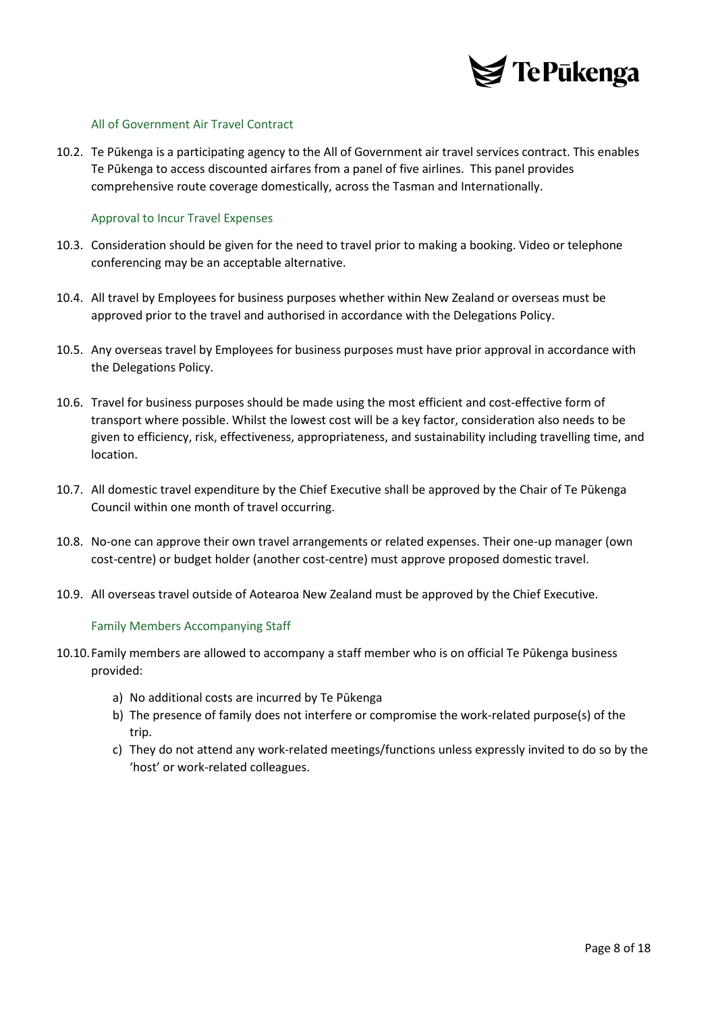

#### <span id="page-7-0"></span>All of Government Air Travel Contract

10.2. Te Pūkenga is a participating agency to the All of Government air travel services contract. This enables Te Pūkenga to access discounted airfares from a panel of five airlines. This panel provides comprehensive route coverage domestically, across the Tasman and Internationally.

#### <span id="page-7-1"></span>Approval to Incur Travel Expenses

- 10.3. Consideration should be given for the need to travel prior to making a booking. Video or telephone conferencing may be an acceptable alternative.
- 10.4. All travel by Employees for business purposes whether within New Zealand or overseas must be approved prior to the travel and authorised in accordance with the Delegations Policy.
- 10.5. Any overseas travel by Employees for business purposes must have prior approval in accordance with the Delegations Policy.
- 10.6. Travel for business purposes should be made using the most efficient and cost-effective form of transport where possible. Whilst the lowest cost will be a key factor, consideration also needs to be given to efficiency, risk, effectiveness, appropriateness, and sustainability including travelling time, and location.
- 10.7. All domestic travel expenditure by the Chief Executive shall be approved by the Chair of Te Pūkenga Council within one month of travel occurring.
- 10.8. No-one can approve their own travel arrangements or related expenses. Their one-up manager (own cost-centre) or budget holder (another cost-centre) must approve proposed domestic travel.
- <span id="page-7-2"></span>10.9. All overseas travel outside of Aotearoa New Zealand must be approved by the Chief Executive.

#### Family Members Accompanying Staff

- 10.10.Family members are allowed to accompany a staff member who is on official Te Pūkenga business provided:
	- a) No additional costs are incurred by Te Pūkenga
	- b) The presence of family does not interfere or compromise the work-related purpose(s) of the trip.
	- c) They do not attend any work-related meetings/functions unless expressly invited to do so by the 'host' or work-related colleagues.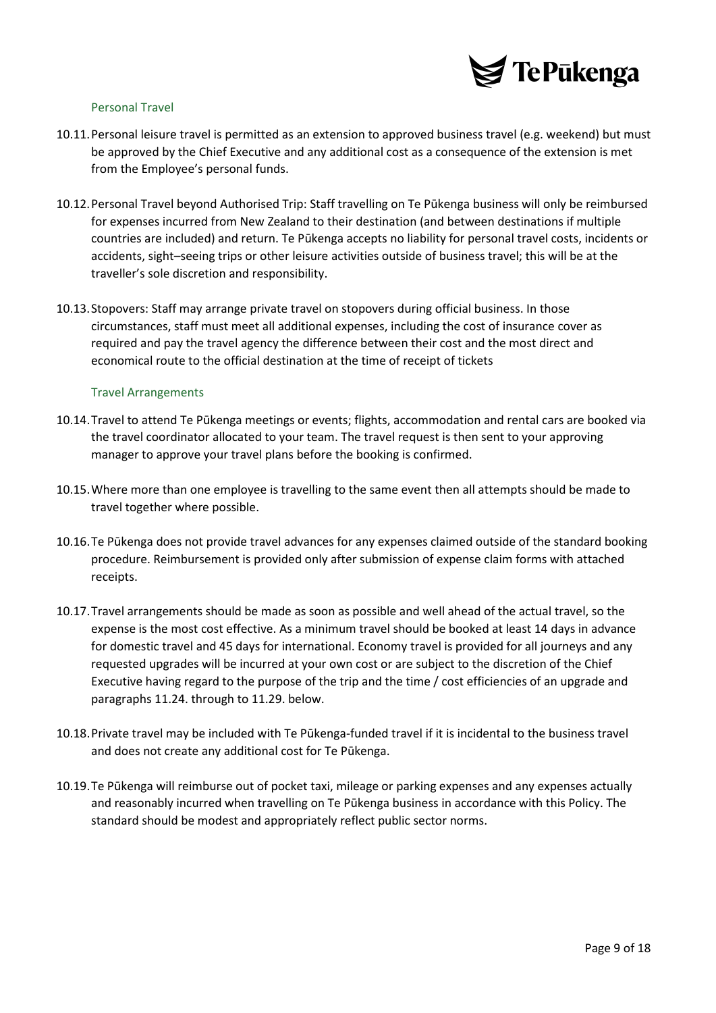

#### <span id="page-8-0"></span>Personal Travel

- 10.11.Personal leisure travel is permitted as an extension to approved business travel (e.g. weekend) but must be approved by the Chief Executive and any additional cost as a consequence of the extension is met from the Employee's personal funds.
- 10.12.Personal Travel beyond Authorised Trip: Staff travelling on Te Pūkenga business will only be reimbursed for expenses incurred from New Zealand to their destination (and between destinations if multiple countries are included) and return. Te Pūkenga accepts no liability for personal travel costs, incidents or accidents, sight–seeing trips or other leisure activities outside of business travel; this will be at the traveller's sole discretion and responsibility.
- 10.13.Stopovers: Staff may arrange private travel on stopovers during official business. In those circumstances, staff must meet all additional expenses, including the cost of insurance cover as required and pay the travel agency the difference between their cost and the most direct and economical route to the official destination at the time of receipt of tickets

#### <span id="page-8-1"></span>Travel Arrangements

- 10.14.Travel to attend Te Pūkenga meetings or events; flights, accommodation and rental cars are booked via the travel coordinator allocated to your team. The travel request is then sent to your approving manager to approve your travel plans before the booking is confirmed.
- 10.15.Where more than one employee is travelling to the same event then all attempts should be made to travel together where possible.
- 10.16.Te Pūkenga does not provide travel advances for any expenses claimed outside of the standard booking procedure. Reimbursement is provided only after submission of expense claim forms with attached receipts.
- 10.17.Travel arrangements should be made as soon as possible and well ahead of the actual travel, so the expense is the most cost effective. As a minimum travel should be booked at least 14 days in advance for domestic travel and 45 days for international. Economy travel is provided for all journeys and any requested upgrades will be incurred at your own cost or are subject to the discretion of the Chief Executive having regard to the purpose of the trip and the time / cost efficiencies of an upgrade and paragraphs 11.24. through to 11.29. below.
- 10.18.Private travel may be included with Te Pūkenga-funded travel if it is incidental to the business travel and does not create any additional cost for Te Pūkenga.
- 10.19.Te Pūkenga will reimburse out of pocket taxi, mileage or parking expenses and any expenses actually and reasonably incurred when travelling on Te Pūkenga business in accordance with this Policy. The standard should be modest and appropriately reflect public sector norms.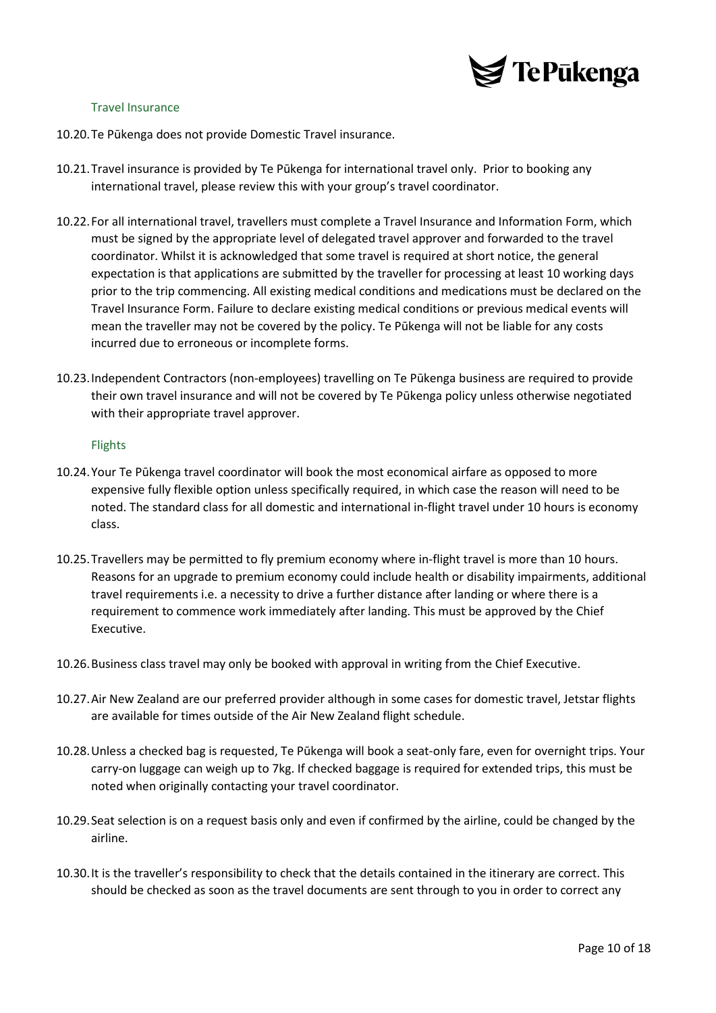

#### <span id="page-9-0"></span>Travel Insurance

- 10.20.Te Pūkenga does not provide Domestic Travel insurance.
- 10.21.Travel insurance is provided by Te Pūkenga for international travel only. Prior to booking any international travel, please review this with your group's travel coordinator.
- 10.22.For all international travel, travellers must complete a Travel Insurance and Information Form, which must be signed by the appropriate level of delegated travel approver and forwarded to the travel coordinator. Whilst it is acknowledged that some travel is required at short notice, the general expectation is that applications are submitted by the traveller for processing at least 10 working days prior to the trip commencing. All existing medical conditions and medications must be declared on the Travel Insurance Form. Failure to declare existing medical conditions or previous medical events will mean the traveller may not be covered by the policy. Te Pūkenga will not be liable for any costs incurred due to erroneous or incomplete forms.
- 10.23.Independent Contractors (non-employees) travelling on Te Pūkenga business are required to provide their own travel insurance and will not be covered by Te Pūkenga policy unless otherwise negotiated with their appropriate travel approver.

#### <span id="page-9-1"></span>Flights

- 10.24.Your Te Pūkenga travel coordinator will book the most economical airfare as opposed to more expensive fully flexible option unless specifically required, in which case the reason will need to be noted. The standard class for all domestic and international in-flight travel under 10 hours is economy class.
- 10.25.Travellers may be permitted to fly premium economy where in-flight travel is more than 10 hours. Reasons for an upgrade to premium economy could include health or disability impairments, additional travel requirements i.e. a necessity to drive a further distance after landing or where there is a requirement to commence work immediately after landing. This must be approved by the Chief Executive.
- 10.26.Business class travel may only be booked with approval in writing from the Chief Executive.
- 10.27.Air New Zealand are our preferred provider although in some cases for domestic travel, Jetstar flights are available for times outside of the Air New Zealand flight schedule.
- 10.28.Unless a checked bag is requested, Te Pūkenga will book a seat-only fare, even for overnight trips. Your carry-on luggage can weigh up to 7kg. If checked baggage is required for extended trips, this must be noted when originally contacting your travel coordinator.
- 10.29.Seat selection is on a request basis only and even if confirmed by the airline, could be changed by the airline.
- 10.30.It is the traveller's responsibility to check that the details contained in the itinerary are correct. This should be checked as soon as the travel documents are sent through to you in order to correct any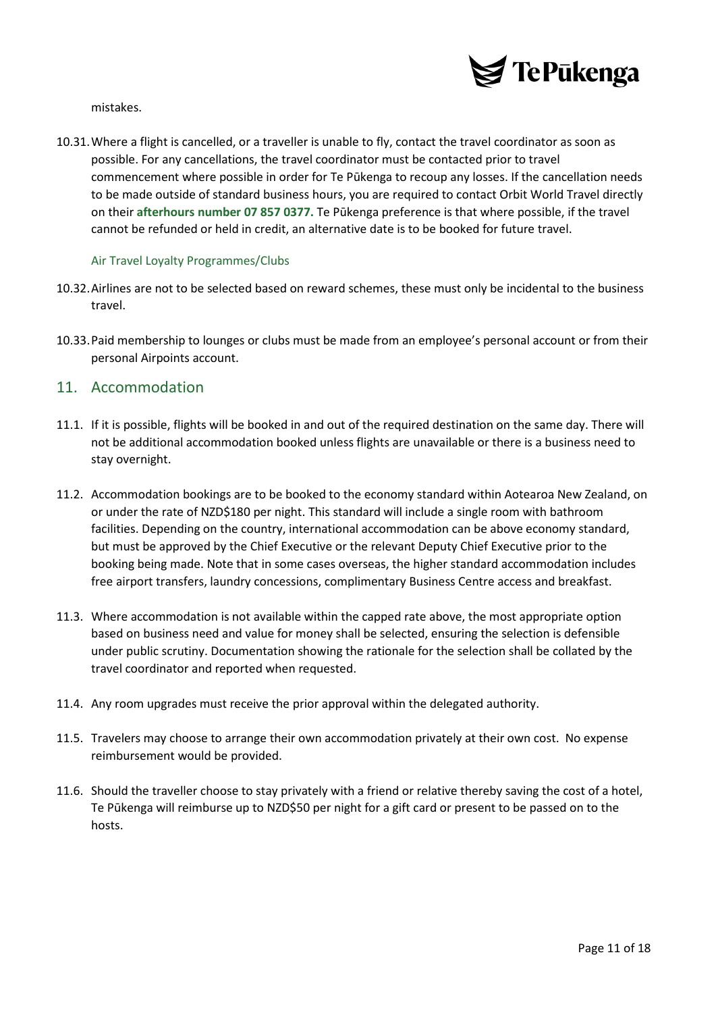

mistakes.

10.31.Where a flight is cancelled, or a traveller is unable to fly, contact the travel coordinator as soon as possible. For any cancellations, the travel coordinator must be contacted prior to travel commencement where possible in order for Te Pūkenga to recoup any losses. If the cancellation needs to be made outside of standard business hours, you are required to contact Orbit World Travel directly on their **afterhours number 07 857 0377.** Te Pūkenga preference is that where possible, if the travel cannot be refunded or held in credit, an alternative date is to be booked for future travel.

#### <span id="page-10-0"></span>Air Travel Loyalty Programmes/Clubs

- 10.32.Airlines are not to be selected based on reward schemes, these must only be incidental to the business travel.
- 10.33.Paid membership to lounges or clubs must be made from an employee's personal account or from their personal Airpoints account.

#### <span id="page-10-1"></span>11. Accommodation

- 11.1. If it is possible, flights will be booked in and out of the required destination on the same day. There will not be additional accommodation booked unless flights are unavailable or there is a business need to stay overnight.
- 11.2. Accommodation bookings are to be booked to the economy standard within Aotearoa New Zealand, on or under the rate of NZD\$180 per night. This standard will include a single room with bathroom facilities. Depending on the country, international accommodation can be above economy standard, but must be approved by the Chief Executive or the relevant Deputy Chief Executive prior to the booking being made. Note that in some cases overseas, the higher standard accommodation includes free airport transfers, laundry concessions, complimentary Business Centre access and breakfast.
- 11.3. Where accommodation is not available within the capped rate above, the most appropriate option based on business need and value for money shall be selected, ensuring the selection is defensible under public scrutiny. Documentation showing the rationale for the selection shall be collated by the travel coordinator and reported when requested.
- 11.4. Any room upgrades must receive the prior approval within the delegated authority.
- 11.5. Travelers may choose to arrange their own accommodation privately at their own cost. No expense reimbursement would be provided.
- 11.6. Should the traveller choose to stay privately with a friend or relative thereby saving the cost of a hotel, Te Pūkenga will reimburse up to NZD\$50 per night for a gift card or present to be passed on to the hosts.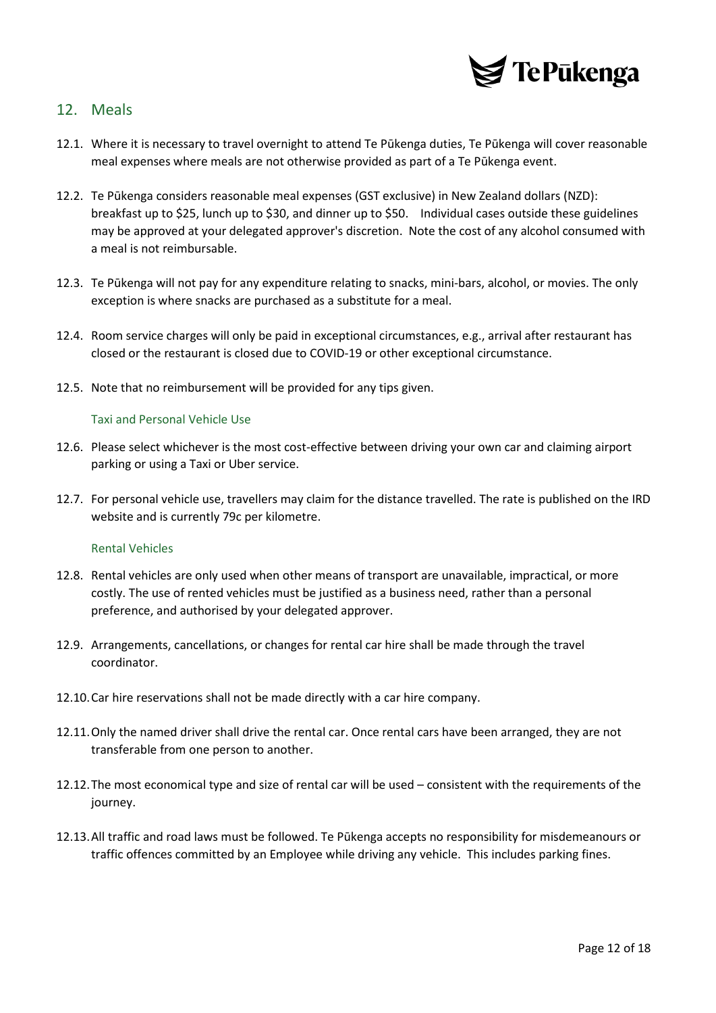

### <span id="page-11-0"></span>12. Meals

- 12.1. Where it is necessary to travel overnight to attend Te Pūkenga duties, Te Pūkenga will cover reasonable meal expenses where meals are not otherwise provided as part of a Te Pūkenga event.
- 12.2. Te Pūkenga considers reasonable meal expenses (GST exclusive) in New Zealand dollars (NZD): breakfast up to \$25, lunch up to \$30, and dinner up to \$50. Individual cases outside these guidelines may be approved at your delegated approver's discretion. Note the cost of any alcohol consumed with a meal is not reimbursable.
- 12.3. Te Pūkenga will not pay for any expenditure relating to snacks, mini-bars, alcohol, or movies. The only exception is where snacks are purchased as a substitute for a meal.
- 12.4. Room service charges will only be paid in exceptional circumstances, e.g., arrival after restaurant has closed or the restaurant is closed due to COVID-19 or other exceptional circumstance.
- <span id="page-11-1"></span>12.5. Note that no reimbursement will be provided for any tips given.

#### Taxi and Personal Vehicle Use

- 12.6. Please select whichever is the most cost-effective between driving your own car and claiming airport parking or using a Taxi or Uber service.
- 12.7. For personal vehicle use, travellers may claim for the distance travelled. The rate is published on the IRD website and is currently 79c per kilometre.

#### <span id="page-11-2"></span>Rental Vehicles

- 12.8. Rental vehicles are only used when other means of transport are unavailable, impractical, or more costly. The use of rented vehicles must be justified as a business need, rather than a personal preference, and authorised by your delegated approver.
- 12.9. Arrangements, cancellations, or changes for rental car hire shall be made through the travel coordinator.
- 12.10.Car hire reservations shall not be made directly with a car hire company.
- 12.11.Only the named driver shall drive the rental car. Once rental cars have been arranged, they are not transferable from one person to another.
- 12.12.The most economical type and size of rental car will be used consistent with the requirements of the journey.
- 12.13.All traffic and road laws must be followed. Te Pūkenga accepts no responsibility for misdemeanours or traffic offences committed by an Employee while driving any vehicle. This includes parking fines.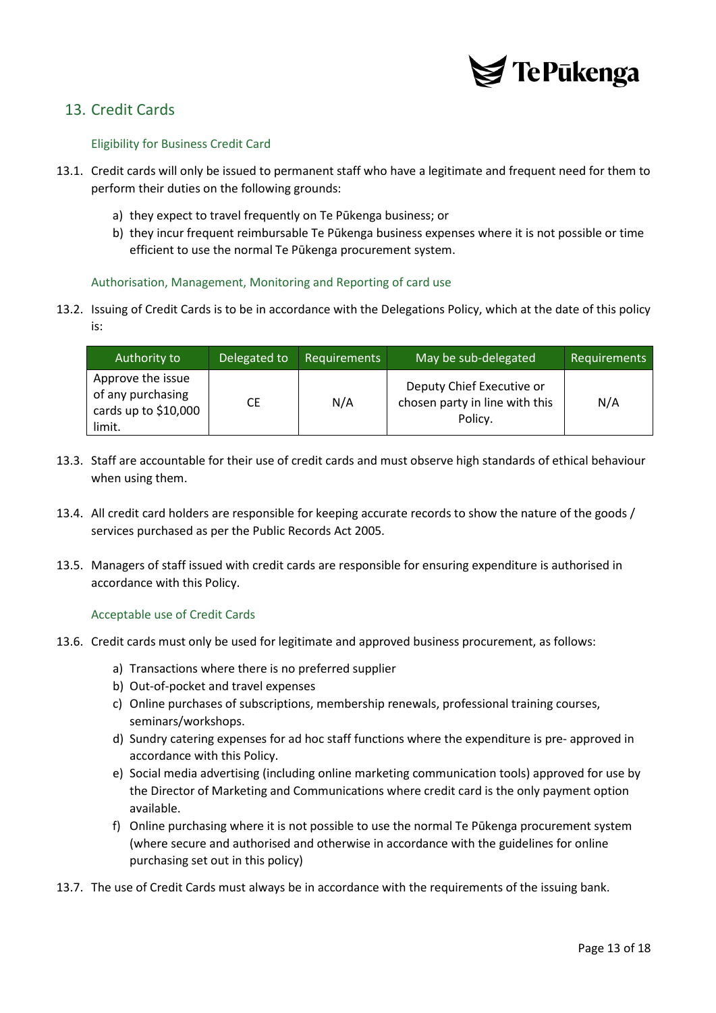

## <span id="page-12-1"></span><span id="page-12-0"></span>13. Credit Cards

#### Eligibility for Business Credit Card

- 13.1. Credit cards will only be issued to permanent staff who have a legitimate and frequent need for them to perform their duties on the following grounds:
	- a) they expect to travel frequently on Te Pūkenga business; or
	- b) they incur frequent reimbursable Te Pūkenga business expenses where it is not possible or time efficient to use the normal Te Pūkenga procurement system.

#### <span id="page-12-2"></span>Authorisation, Management, Monitoring and Reporting of card use

13.2. Issuing of Credit Cards is to be in accordance with the Delegations Policy, which at the date of this policy is:

| Authority to                                                              | Delegated to | <b>Requirements</b> | May be sub-delegated                                                   | <b>Requirements</b> |
|---------------------------------------------------------------------------|--------------|---------------------|------------------------------------------------------------------------|---------------------|
| Approve the issue<br>of any purchasing<br>cards up to $$10,000$<br>limit. | СE           | N/A                 | Deputy Chief Executive or<br>chosen party in line with this<br>Policy. | N/A                 |

- 13.3. Staff are accountable for their use of credit cards and must observe high standards of ethical behaviour when using them.
- 13.4. All credit card holders are responsible for keeping accurate records to show the nature of the goods / services purchased as per the Public Records Act 2005.
- 13.5. Managers of staff issued with credit cards are responsible for ensuring expenditure is authorised in accordance with this Policy.

#### <span id="page-12-3"></span>Acceptable use of Credit Cards

- 13.6. Credit cards must only be used for legitimate and approved business procurement, as follows:
	- a) Transactions where there is no preferred supplier
	- b) Out-of-pocket and travel expenses
	- c) Online purchases of subscriptions, membership renewals, professional training courses, seminars/workshops.
	- d) Sundry catering expenses for ad hoc staff functions where the expenditure is pre- approved in accordance with this Policy.
	- e) Social media advertising (including online marketing communication tools) approved for use by the Director of Marketing and Communications where credit card is the only payment option available.
	- f) Online purchasing where it is not possible to use the normal Te Pūkenga procurement system (where secure and authorised and otherwise in accordance with the guidelines for online purchasing set out in this policy)
- 13.7. The use of Credit Cards must always be in accordance with the requirements of the issuing bank.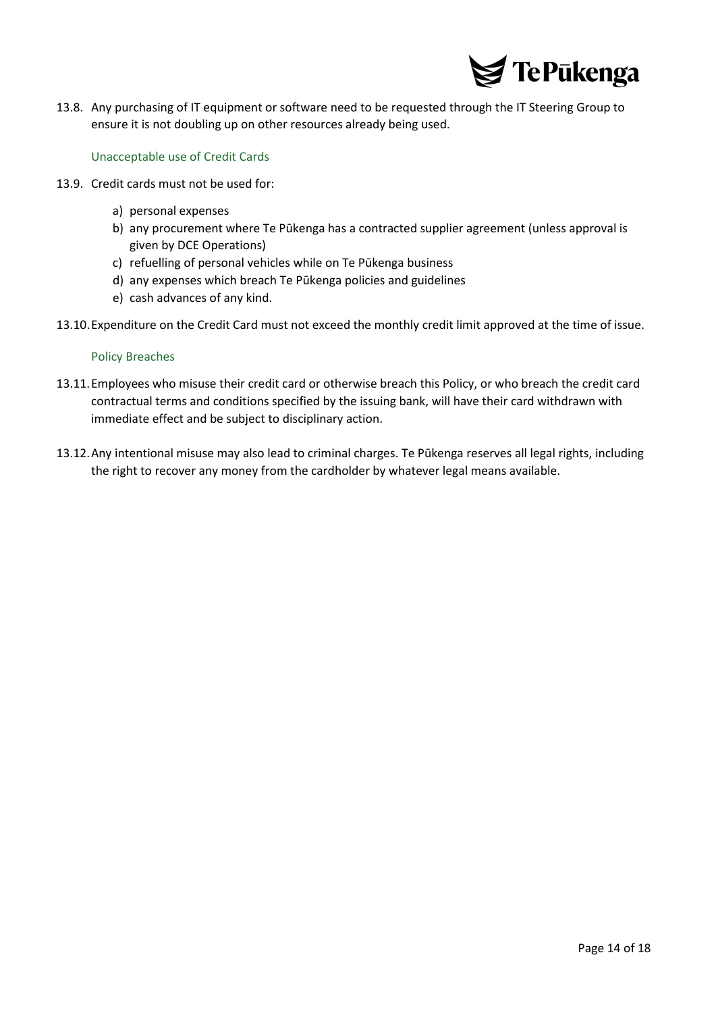

13.8. Any purchasing of IT equipment or software need to be requested through the IT Steering Group to ensure it is not doubling up on other resources already being used.

#### <span id="page-13-0"></span>Unacceptable use of Credit Cards

- 13.9. Credit cards must not be used for:
	- a) personal expenses
	- b) any procurement where Te Pūkenga has a contracted supplier agreement (unless approval is given by DCE Operations)
	- c) refuelling of personal vehicles while on Te Pūkenga business
	- d) any expenses which breach Te Pūkenga policies and guidelines
	- e) cash advances of any kind.
- <span id="page-13-1"></span>13.10.Expenditure on the Credit Card must not exceed the monthly credit limit approved at the time of issue.

#### Policy Breaches

- 13.11.Employees who misuse their credit card or otherwise breach this Policy, or who breach the credit card contractual terms and conditions specified by the issuing bank, will have their card withdrawn with immediate effect and be subject to disciplinary action.
- 13.12.Any intentional misuse may also lead to criminal charges. Te Pūkenga reserves all legal rights, including the right to recover any money from the cardholder by whatever legal means available.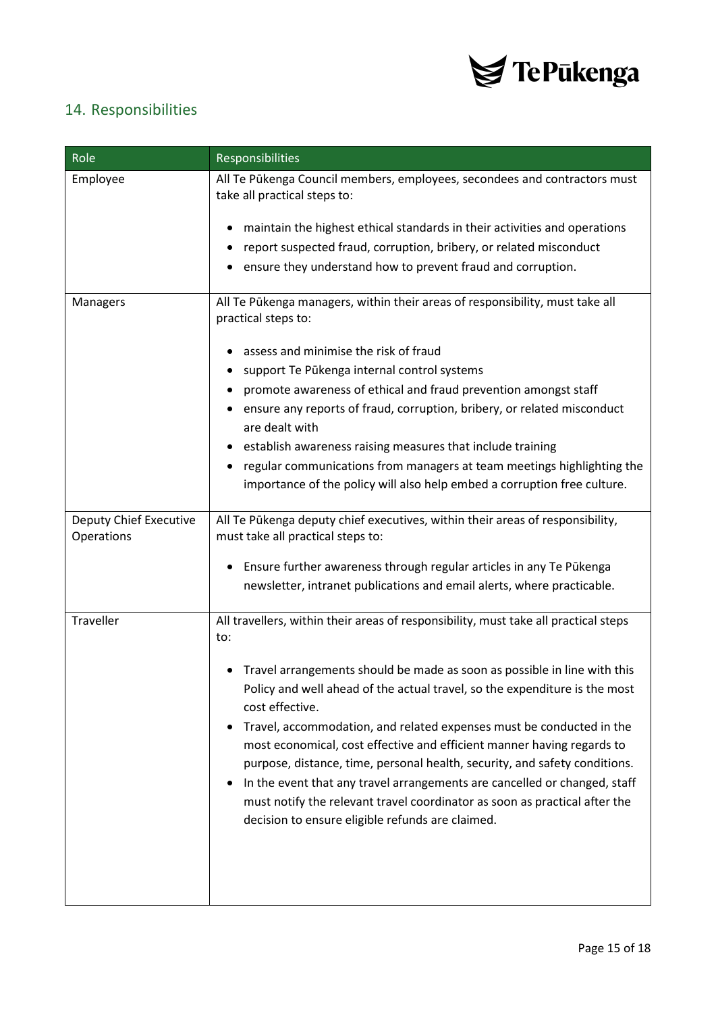

## <span id="page-14-0"></span>14. Responsibilities

| Role                                 | Responsibilities                                                                                                                                                                                                                          |
|--------------------------------------|-------------------------------------------------------------------------------------------------------------------------------------------------------------------------------------------------------------------------------------------|
| Employee                             | All Te Pūkenga Council members, employees, secondees and contractors must<br>take all practical steps to:                                                                                                                                 |
|                                      | maintain the highest ethical standards in their activities and operations                                                                                                                                                                 |
|                                      | report suspected fraud, corruption, bribery, or related misconduct                                                                                                                                                                        |
|                                      | ensure they understand how to prevent fraud and corruption.                                                                                                                                                                               |
| Managers                             | All Te Pūkenga managers, within their areas of responsibility, must take all<br>practical steps to:                                                                                                                                       |
|                                      | assess and minimise the risk of fraud                                                                                                                                                                                                     |
|                                      | support Te Pūkenga internal control systems                                                                                                                                                                                               |
|                                      | promote awareness of ethical and fraud prevention amongst staff                                                                                                                                                                           |
|                                      | ensure any reports of fraud, corruption, bribery, or related misconduct<br>$\bullet$<br>are dealt with                                                                                                                                    |
|                                      | establish awareness raising measures that include training                                                                                                                                                                                |
|                                      | regular communications from managers at team meetings highlighting the<br>٠                                                                                                                                                               |
|                                      | importance of the policy will also help embed a corruption free culture.                                                                                                                                                                  |
| Deputy Chief Executive<br>Operations | All Te Pūkenga deputy chief executives, within their areas of responsibility,<br>must take all practical steps to:                                                                                                                        |
|                                      | Ensure further awareness through regular articles in any Te Pūkenga<br>$\bullet$                                                                                                                                                          |
|                                      | newsletter, intranet publications and email alerts, where practicable.                                                                                                                                                                    |
| Traveller                            | All travellers, within their areas of responsibility, must take all practical steps<br>to:                                                                                                                                                |
|                                      | Travel arrangements should be made as soon as possible in line with this<br>Policy and well ahead of the actual travel, so the expenditure is the most<br>cost effective.                                                                 |
|                                      | Travel, accommodation, and related expenses must be conducted in the<br>$\bullet$<br>most economical, cost effective and efficient manner having regards to<br>purpose, distance, time, personal health, security, and safety conditions. |
|                                      | In the event that any travel arrangements are cancelled or changed, staff<br>must notify the relevant travel coordinator as soon as practical after the<br>decision to ensure eligible refunds are claimed.                               |
|                                      |                                                                                                                                                                                                                                           |
|                                      |                                                                                                                                                                                                                                           |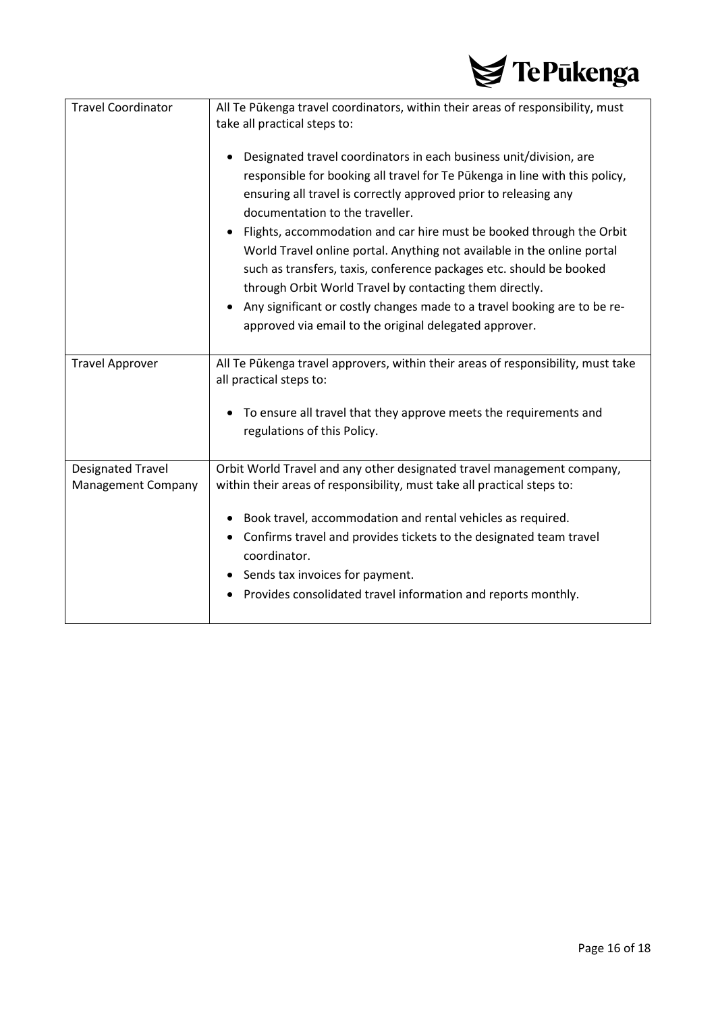

| <b>Travel Coordinator</b>                      | All Te Pūkenga travel coordinators, within their areas of responsibility, must<br>take all practical steps to:                                                                                                                                                                                                                                                                                                                                                                                                                                                                                                                                                                      |
|------------------------------------------------|-------------------------------------------------------------------------------------------------------------------------------------------------------------------------------------------------------------------------------------------------------------------------------------------------------------------------------------------------------------------------------------------------------------------------------------------------------------------------------------------------------------------------------------------------------------------------------------------------------------------------------------------------------------------------------------|
|                                                | Designated travel coordinators in each business unit/division, are<br>responsible for booking all travel for Te Pūkenga in line with this policy,<br>ensuring all travel is correctly approved prior to releasing any<br>documentation to the traveller.<br>Flights, accommodation and car hire must be booked through the Orbit<br>World Travel online portal. Anything not available in the online portal<br>such as transfers, taxis, conference packages etc. should be booked<br>through Orbit World Travel by contacting them directly.<br>Any significant or costly changes made to a travel booking are to be re-<br>approved via email to the original delegated approver. |
| <b>Travel Approver</b>                         | All Te Pūkenga travel approvers, within their areas of responsibility, must take<br>all practical steps to:                                                                                                                                                                                                                                                                                                                                                                                                                                                                                                                                                                         |
|                                                | To ensure all travel that they approve meets the requirements and<br>regulations of this Policy.                                                                                                                                                                                                                                                                                                                                                                                                                                                                                                                                                                                    |
| <b>Designated Travel</b><br>Management Company | Orbit World Travel and any other designated travel management company,<br>within their areas of responsibility, must take all practical steps to:                                                                                                                                                                                                                                                                                                                                                                                                                                                                                                                                   |
|                                                | Book travel, accommodation and rental vehicles as required.<br>٠<br>Confirms travel and provides tickets to the designated team travel<br>coordinator.<br>Sends tax invoices for payment.<br>Provides consolidated travel information and reports monthly.                                                                                                                                                                                                                                                                                                                                                                                                                          |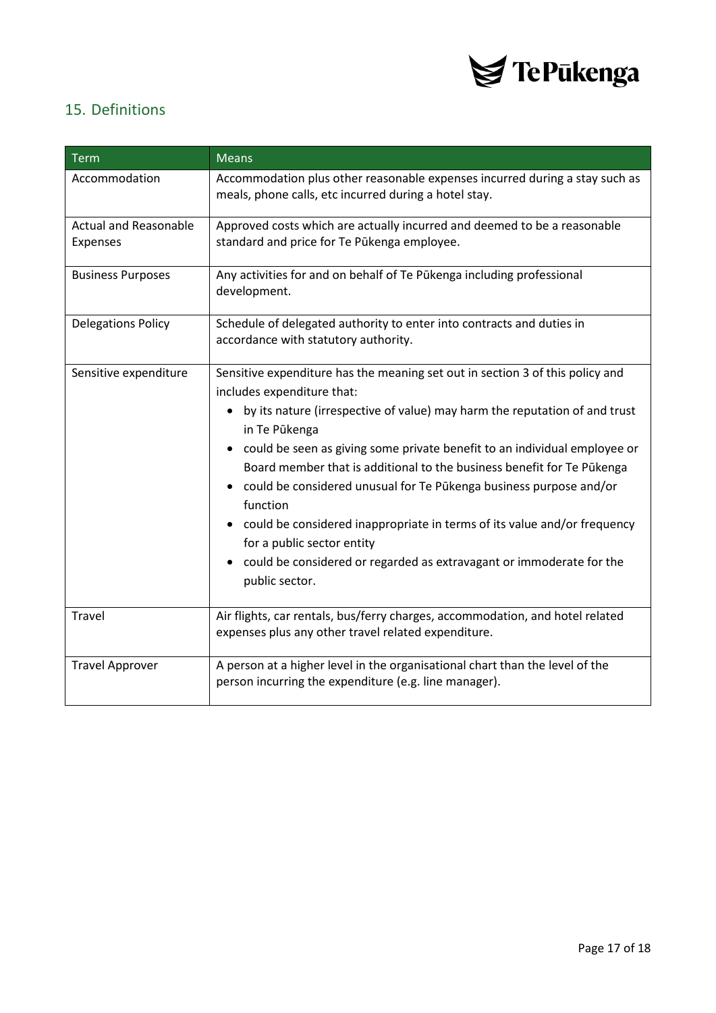

## <span id="page-16-0"></span>15. Definitions

| <b>Term</b>                                     | <b>Means</b>                                                                                                                                                                                                                                                                                                                                                                                                                                                                                                                                                                                                                                                                                       |  |
|-------------------------------------------------|----------------------------------------------------------------------------------------------------------------------------------------------------------------------------------------------------------------------------------------------------------------------------------------------------------------------------------------------------------------------------------------------------------------------------------------------------------------------------------------------------------------------------------------------------------------------------------------------------------------------------------------------------------------------------------------------------|--|
| Accommodation                                   | Accommodation plus other reasonable expenses incurred during a stay such as<br>meals, phone calls, etc incurred during a hotel stay.                                                                                                                                                                                                                                                                                                                                                                                                                                                                                                                                                               |  |
| <b>Actual and Reasonable</b><br><b>Expenses</b> | Approved costs which are actually incurred and deemed to be a reasonable<br>standard and price for Te Pūkenga employee.                                                                                                                                                                                                                                                                                                                                                                                                                                                                                                                                                                            |  |
| <b>Business Purposes</b>                        | Any activities for and on behalf of Te Pūkenga including professional<br>development.                                                                                                                                                                                                                                                                                                                                                                                                                                                                                                                                                                                                              |  |
| <b>Delegations Policy</b>                       | Schedule of delegated authority to enter into contracts and duties in<br>accordance with statutory authority.                                                                                                                                                                                                                                                                                                                                                                                                                                                                                                                                                                                      |  |
| Sensitive expenditure                           | Sensitive expenditure has the meaning set out in section 3 of this policy and<br>includes expenditure that:<br>by its nature (irrespective of value) may harm the reputation of and trust<br>$\bullet$<br>in Te Pūkenga<br>could be seen as giving some private benefit to an individual employee or<br>$\bullet$<br>Board member that is additional to the business benefit for Te Pūkenga<br>• could be considered unusual for Te Pūkenga business purpose and/or<br>function<br>• could be considered inappropriate in terms of its value and/or frequency<br>for a public sector entity<br>could be considered or regarded as extravagant or immoderate for the<br>$\bullet$<br>public sector. |  |
| Travel                                          | Air flights, car rentals, bus/ferry charges, accommodation, and hotel related<br>expenses plus any other travel related expenditure.                                                                                                                                                                                                                                                                                                                                                                                                                                                                                                                                                               |  |
| <b>Travel Approver</b>                          | A person at a higher level in the organisational chart than the level of the<br>person incurring the expenditure (e.g. line manager).                                                                                                                                                                                                                                                                                                                                                                                                                                                                                                                                                              |  |